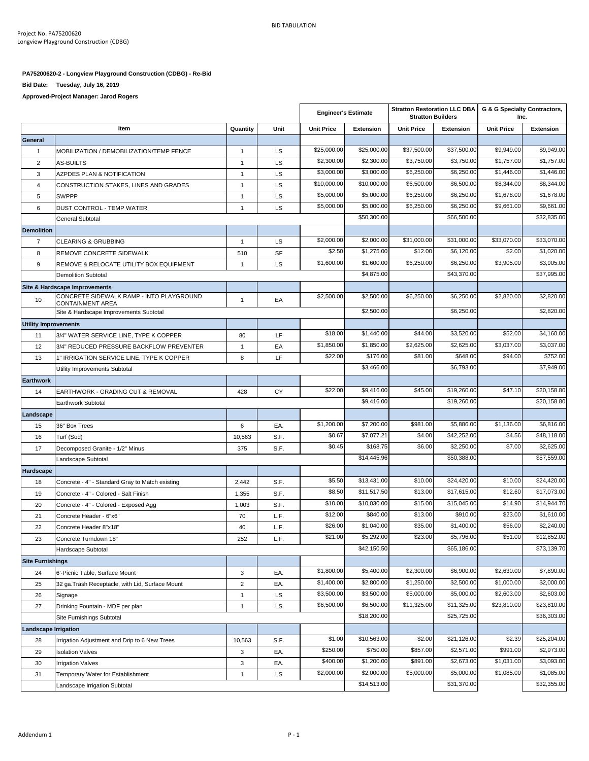$\overline{1}$ 

## **PA75200620-2 - Longview Playground Construction (CDBG) - Re-Bid**

**Bid Date: Tuesday, July 16, 2019**

**Approved-Project Manager: Jarod Rogers**

|                             |                                                                                       |                |           | <b>Engineer's Estimate</b> |                           | <b>Stratton Restoration LLC DBA</b><br><b>Stratton Builders</b> |                           | G & G Specialty Contractors,<br>Inc. |                            |
|-----------------------------|---------------------------------------------------------------------------------------|----------------|-----------|----------------------------|---------------------------|-----------------------------------------------------------------|---------------------------|--------------------------------------|----------------------------|
|                             | Item                                                                                  | Quantity       | Unit      | <b>Unit Price</b>          | <b>Extension</b>          | <b>Unit Price</b>                                               | <b>Extension</b>          | <b>Unit Price</b>                    | <b>Extension</b>           |
| General                     |                                                                                       |                |           |                            |                           |                                                                 |                           |                                      |                            |
| $\mathbf{1}$                | MOBILIZATION / DEMOBILIZATION/TEMP FENCE                                              | $\mathbf{1}$   | <b>LS</b> | \$25,000.00                | \$25,000.00               | \$37,500.00                                                     | \$37,500.00               | \$9,949.00                           | \$9,949.00                 |
| $\overline{2}$              | <b>AS-BUILTS</b>                                                                      | $\mathbf{1}$   | <b>LS</b> | \$2,300.00                 | \$2,300.00                | \$3.750.00                                                      | \$3,750.00                | \$1,757.00                           | \$1,757.00                 |
| 3                           | AZPDES PLAN & NOTIFICATION                                                            | $\mathbf{1}$   | <b>LS</b> | \$3,000.00                 | \$3,000.00                | \$6,250.00                                                      | \$6,250.00                | \$1,446.00                           | \$1,446.00                 |
| $\overline{4}$              | CONSTRUCTION STAKES, LINES AND GRADES                                                 | $\mathbf{1}$   | <b>LS</b> | \$10,000.00                | \$10,000.00               | \$6,500.00                                                      | \$6,500.00                | \$8,344.00                           | \$8,344.00                 |
| 5                           | <b>SWPPP</b>                                                                          | $\mathbf{1}$   | <b>LS</b> | \$5,000.00                 | \$5,000.00                | \$6,250.00                                                      | \$6,250.00                | \$1,678.00                           | \$1,678.00                 |
| 6                           | <b>DUST CONTROL - TEMP WATER</b>                                                      | $\mathbf{1}$   | <b>LS</b> | \$5,000.00                 | \$5,000.00                | \$6,250.00                                                      | \$6,250.00                | \$9,661.00                           | \$9,661.00                 |
|                             | <b>General Subtotal</b>                                                               |                |           |                            | \$50,300.00               |                                                                 | \$66,500.00               |                                      | \$32,835.00                |
| <b>Demolition</b>           |                                                                                       |                |           |                            |                           |                                                                 |                           |                                      |                            |
| $\overline{7}$              | <b>CLEARING &amp; GRUBBING</b>                                                        | $\mathbf{1}$   | LS        | \$2,000.00                 | \$2,000.00                | \$31,000.00                                                     | \$31,000.00               | \$33,070.00                          | \$33,070.00                |
| 8                           | REMOVE CONCRETE SIDEWALK                                                              | 510            | SF        | \$2.50                     | \$1,275.00                | \$12.00                                                         | \$6,120.00                | \$2.00                               | \$1,020.00                 |
| 9                           | REMOVE & RELOCATE UTILITY BOX EQUIPMENT                                               | $\mathbf{1}$   | LS        | \$1,600.00                 | \$1,600.00                | \$6,250.00                                                      | \$6,250.00                | \$3,905.00                           | \$3,905.00                 |
|                             | <b>Demolition Subtotal</b>                                                            |                |           |                            | \$4,875.00                |                                                                 | \$43,370.00               |                                      | \$37,995.00                |
|                             | Site & Hardscape Improvements                                                         |                |           |                            |                           |                                                                 |                           |                                      |                            |
| 10                          | CONCRETE SIDEWALK RAMP - INTO PLAYGROUND                                              | $\mathbf{1}$   | EA        | \$2,500.00                 | \$2,500.00                | \$6,250.00                                                      | \$6,250.00                | \$2,820.00                           | \$2,820.00                 |
|                             | CONTAINMENT AREA<br>Site & Hardscape Improvements Subtotal                            |                |           |                            | \$2,500.00                |                                                                 | \$6,250.00                |                                      | \$2,820.00                 |
| <b>Utility Improvements</b> |                                                                                       |                |           |                            |                           |                                                                 |                           |                                      |                            |
|                             |                                                                                       | 80             | LF        | \$18.00                    | \$1,440.00                | \$44.00                                                         | \$3,520.00                | \$52.00                              | \$4,160.00                 |
| 11                          | 3/4" WATER SERVICE LINE, TYPE K COPPER                                                | $\mathbf{1}$   |           | \$1,850.00                 | \$1,850.00                | \$2,625.00                                                      | \$2,625.00                | \$3,037.00                           | \$3,037.00                 |
| 12<br>13                    | 3/4" REDUCED PRESSURE BACKFLOW PREVENTER<br>1" IRRIGATION SERVICE LINE, TYPE K COPPER | 8              | EA<br>LF  | \$22.00                    | \$176.00                  | \$81.00                                                         | \$648.00                  | \$94.00                              | \$752.00                   |
|                             |                                                                                       |                |           |                            | \$3,466.00                |                                                                 | \$6,793.00                |                                      | \$7,949.00                 |
|                             | Utility Improvements Subtotal                                                         |                |           |                            |                           |                                                                 |                           |                                      |                            |
| <b>Earthwork</b>            |                                                                                       |                |           | \$22.00                    | \$9,416.00                | \$45.00                                                         | \$19,260.00               | \$47.10                              | \$20,158.80                |
| 14                          | EARTHWORK - GRADING CUT & REMOVAL                                                     | 428            | СY        |                            | \$9,416.00                |                                                                 | \$19,260.00               |                                      | \$20,158.80                |
|                             | Earthwork Subtotal                                                                    |                |           |                            |                           |                                                                 |                           |                                      |                            |
| Landscape                   |                                                                                       |                |           | \$1,200.00                 | \$7,200.00                | \$981.00                                                        | \$5,886.00                | \$1,136.00                           | \$6,816.00                 |
| 15                          | 36" Box Trees                                                                         | 6              | EA.       | \$0.67                     | \$7,077.21                | \$4.00                                                          | \$42,252.00               | \$4.56                               | \$48,118.00                |
| 16                          | Turf (Sod)                                                                            | 10,563         | S.F.      | \$0.45                     | \$168.75                  | \$6.00                                                          | \$2,250.00                | \$7.00                               | \$2,625.00                 |
| 17                          | Decomposed Granite - 1/2" Minus                                                       | 375            | S.F.      |                            | \$14,445.96               |                                                                 | \$50,388.00               |                                      | \$57,559.00                |
|                             | Landscape Subtotal                                                                    |                |           |                            |                           |                                                                 |                           |                                      |                            |
| Hardscape                   |                                                                                       |                |           | \$5.50                     | \$13,431.00               | \$10.00                                                         | \$24,420.00               | \$10.00                              | \$24,420.00                |
| 18                          | Concrete - 4" - Standard Gray to Match existing                                       | 2,442          | S.F.      | \$8.50                     | \$11,517.50               | \$13.00                                                         | \$17,615.00               | \$12.60                              | \$17,073.00                |
| 19                          | Concrete - 4" - Colored - Salt Finish                                                 | 1,355          | S.F.      | \$10.00                    | \$10,030.00               | \$15.00                                                         | \$15,045.00               | \$14.90                              | \$14,944.70                |
| 20                          | Concrete - 4" - Colored - Exposed Agg                                                 | 1,003          | S.F.      |                            | \$840.00                  |                                                                 | \$910.00                  |                                      | \$1,610.00                 |
| 21                          | Concrete Header - 6"x6"                                                               | 70             | L.F.      | \$12.00                    | \$1,040.00                | \$13.00                                                         | \$1,400.00                | \$23.00<br>\$56.00                   | \$2,240.00                 |
| 22                          | Concrete Header 8"x18"                                                                | 40             | L.F.      | \$26.00                    |                           | \$35.00                                                         |                           |                                      |                            |
| 23                          | Concrete Turndown 18"                                                                 | 252            | L.F.      | \$21.00                    | \$5,292.00<br>\$42,150.50 | \$23.00                                                         | \$5,796.00<br>\$65,186.00 | \$51.00                              | \$12,852.00<br>\$73,139.70 |
|                             | Hardscape Subtotal                                                                    |                |           |                            |                           |                                                                 |                           |                                      |                            |
| <b>Site Furnishings</b>     |                                                                                       |                |           | \$1,800.00                 | \$5,400.00                | \$2,300.00                                                      | \$6,900.00                | \$2,630.00                           | \$7,890.00                 |
| 24                          | 6'-Picnic Table, Surface Mount                                                        | 3              | EA.       |                            |                           | \$1,250.00                                                      | \$2,500.00                |                                      | \$2,000.00                 |
| 25                          | 32 ga.Trash Receptacle, with Lid, Surface Mount                                       | $\overline{2}$ | EA.       | \$1,400.00<br>\$3,500.00   | \$2,800.00<br>\$3,500.00  | \$5,000.00                                                      | \$5,000.00                | \$1,000.00<br>\$2,603.00             | \$2,603.00                 |
| 26                          | Signage                                                                               | $\mathbf{1}$   | LS        |                            |                           |                                                                 |                           | \$23,810.00                          |                            |
| 27                          | Drinking Fountain - MDF per plan                                                      | $\mathbf{1}$   | LS        | \$6,500.00                 | \$6,500.00<br>\$18,200.00 | \$11,325.00                                                     | \$11,325.00               |                                      | \$23,810.00                |
| Site Furnishings Subtotal   |                                                                                       |                |           |                            |                           |                                                                 | \$25,725.00               |                                      | \$36,303.00                |
| <b>Landscape Irrigation</b> |                                                                                       |                |           |                            |                           |                                                                 |                           |                                      |                            |
| 28                          | Irrigation Adjustment and Drip to 6 New Trees                                         | 10,563         | S.F.      | \$1.00                     | \$10,563.00               | \$2.00                                                          | \$21,126.00               | \$2.39                               | \$25,204.00                |
| 29                          | <b>Isolation Valves</b>                                                               | 3              | EA.       | \$250.00                   | \$750.00                  | \$857.00                                                        | \$2,571.00                | \$991.00                             | \$2,973.00                 |
| 30                          | <b>Irrigation Valves</b>                                                              | 3              | EA.       | \$400.00                   | \$1,200.00                | \$891.00                                                        | \$2,673.00                | \$1,031.00                           | \$3,093.00                 |
| 31                          | Temporary Water for Establishment                                                     | $\mathbf{1}$   | LS        | \$2,000.00                 | \$2,000.00                | \$5,000.00                                                      | \$5,000.00                | \$1,085.00                           | \$1,085.00                 |
|                             | Landscape Irrigation Subtotal                                                         |                |           |                            | \$14,513.00               |                                                                 | \$31,370.00               |                                      | \$32,355.00                |